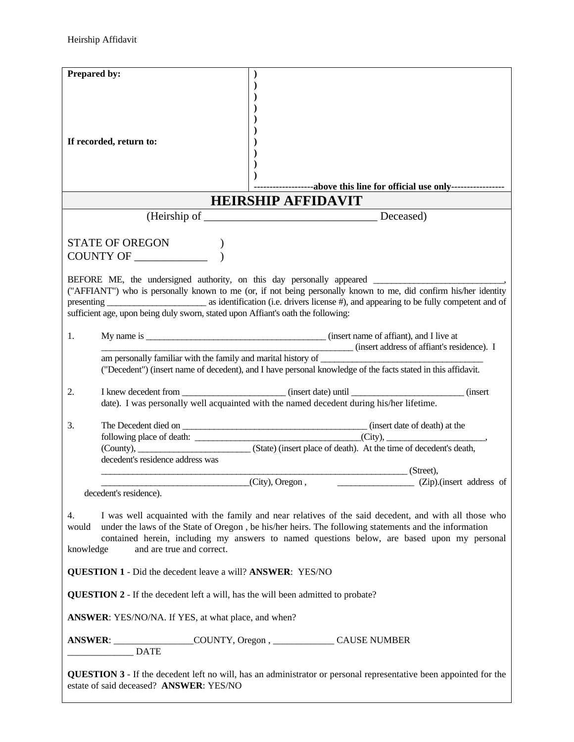| Prepared by:             |                                                                                         |                                                                                                                                                                                                                                                                                                               |
|--------------------------|-----------------------------------------------------------------------------------------|---------------------------------------------------------------------------------------------------------------------------------------------------------------------------------------------------------------------------------------------------------------------------------------------------------------|
|                          | If recorded, return to:                                                                 | -------------------above this line for official use only------------------<br><b>HEIRSHIP AFFIDAVIT</b>                                                                                                                                                                                                       |
|                          |                                                                                         |                                                                                                                                                                                                                                                                                                               |
|                          |                                                                                         |                                                                                                                                                                                                                                                                                                               |
|                          | STATE OF OREGON<br>COUNTY OF _____________                                              |                                                                                                                                                                                                                                                                                                               |
|                          | sufficient age, upon being duly sworn, stated upon Affiant's oath the following:        | BEFORE ME, the undersigned authority, on this day personally appeared<br>("AFFIANT") who is personally known to me (or, if not being personally known to me, did confirm his/her identity                                                                                                                     |
| 1.                       |                                                                                         |                                                                                                                                                                                                                                                                                                               |
|                          |                                                                                         | (insert address of affiant's residence). I<br>("Decedent") (insert name of decedent), and I have personal knowledge of the facts stated in this affidavit.                                                                                                                                                    |
|                          |                                                                                         |                                                                                                                                                                                                                                                                                                               |
| 2.                       |                                                                                         | date). I was personally well acquainted with the named decedent during his/her lifetime.                                                                                                                                                                                                                      |
| 3.                       | decedent's residence address was                                                        | (County), ________________________________(State) (insert place of death). At the time of decedent's death,                                                                                                                                                                                                   |
|                          |                                                                                         | (Street),                                                                                                                                                                                                                                                                                                     |
|                          | decedent's residence).                                                                  | (Zip).(insert address of<br>(City), Oregon,                                                                                                                                                                                                                                                                   |
| 4.<br>would<br>knowledge | and are true and correct.                                                               | I was well acquainted with the family and near relatives of the said decedent, and with all those who<br>under the laws of the State of Oregon, be his/her heirs. The following statements and the information<br>contained herein, including my answers to named questions below, are based upon my personal |
|                          | <b>QUESTION 1</b> - Did the decedent leave a will? <b>ANSWER</b> : YES/NO               |                                                                                                                                                                                                                                                                                                               |
|                          | <b>QUESTION 2</b> - If the decedent left a will, has the will been admitted to probate? |                                                                                                                                                                                                                                                                                                               |
|                          | ANSWER: YES/NO/NA. If YES, at what place, and when?                                     |                                                                                                                                                                                                                                                                                                               |
|                          | <b>DATE</b>                                                                             | ANSWER: __________________COUNTY, Oregon, _________________CAUSE NUMBER                                                                                                                                                                                                                                       |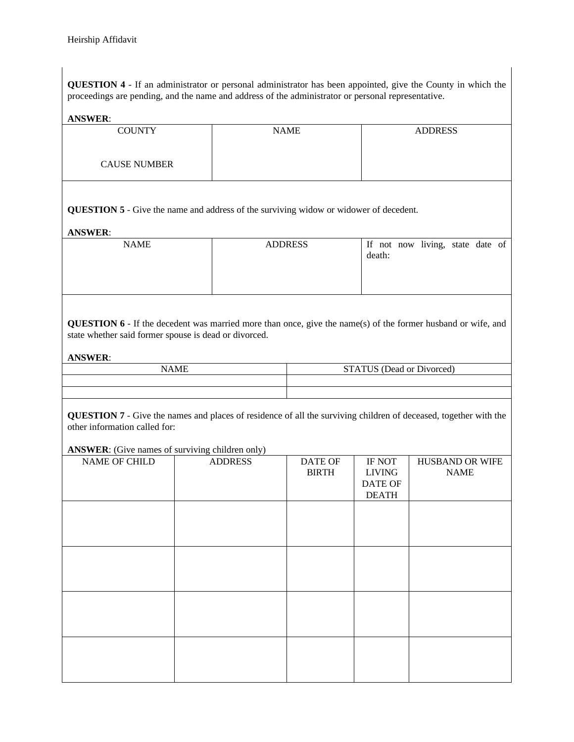**QUESTION 4** - If an administrator or personal administrator has been appointed, give the County in which the proceedings are pending, and the name and address of the administrator or personal representative.

# **ANSWER**:

| <b>COUNTY</b>                                                                                                                                                                                                                                                                                                                                | <b>NAME</b>                                                                                                                   | <b>ADDRESS</b>       |  |  |
|----------------------------------------------------------------------------------------------------------------------------------------------------------------------------------------------------------------------------------------------------------------------------------------------------------------------------------------------|-------------------------------------------------------------------------------------------------------------------------------|----------------------|--|--|
|                                                                                                                                                                                                                                                                                                                                              |                                                                                                                               |                      |  |  |
|                                                                                                                                                                                                                                                                                                                                              |                                                                                                                               |                      |  |  |
|                                                                                                                                                                                                                                                                                                                                              |                                                                                                                               |                      |  |  |
|                                                                                                                                                                                                                                                                                                                                              |                                                                                                                               |                      |  |  |
| <b>CAUSE NUMBER</b>                                                                                                                                                                                                                                                                                                                          |                                                                                                                               |                      |  |  |
|                                                                                                                                                                                                                                                                                                                                              |                                                                                                                               |                      |  |  |
|                                                                                                                                                                                                                                                                                                                                              |                                                                                                                               |                      |  |  |
|                                                                                                                                                                                                                                                                                                                                              |                                                                                                                               |                      |  |  |
|                                                                                                                                                                                                                                                                                                                                              |                                                                                                                               |                      |  |  |
|                                                                                                                                                                                                                                                                                                                                              |                                                                                                                               |                      |  |  |
| $\alpha$ is $\alpha$ in $\alpha$ in $\alpha$ in $\alpha$ in $\alpha$ in $\alpha$ in $\alpha$ in $\alpha$ in $\alpha$ in $\alpha$ in $\alpha$ in $\alpha$ in $\alpha$ in $\alpha$ in $\alpha$ in $\alpha$ in $\alpha$ in $\alpha$ in $\alpha$ in $\alpha$ in $\alpha$ in $\alpha$ in $\alpha$ in $\alpha$ in $\alpha$ in $\alpha$ in $\alpha$ | $\mathbf{a}$ and $\mathbf{a}$ and $\mathbf{a}$ and $\mathbf{a}$ and $\mathbf{a}$<br>$\sim$ $\sim$ $\sim$ $\sim$ $\sim$ $\sim$ | $\sim$ $\sim$ $\sim$ |  |  |

**QUESTION 5** - Give the name and address of the surviving widow or widower of decedent.

# **ANSWER**:

| <b>NAME</b> | <b>ADDRESS</b> | If not now living, state date of |
|-------------|----------------|----------------------------------|
|             |                | death:                           |
|             |                |                                  |
|             |                |                                  |
|             |                |                                  |

**QUESTION 6** - If the decedent was married more than once, give the name(s) of the former husband or wife, and state whether said former spouse is dead or divorced.

**ANSWER**:

| <b>NAME</b> | <b>STATUS</b> (Dead or Divorced) |
|-------------|----------------------------------|
|             |                                  |
|             |                                  |

**QUESTION 7** - Give the names and places of residence of all the surviving children of deceased, together with the other information called for:

# **ANSWER**: (Give names of surviving children only)

| NAME OF CHILD | <b>ADDRESS</b> | DATE OF      | IF NOT        | HUSBAND OR WIFE |
|---------------|----------------|--------------|---------------|-----------------|
|               |                |              |               |                 |
|               |                | <b>BIRTH</b> | <b>LIVING</b> | <b>NAME</b>     |
|               |                |              | DATE OF       |                 |
|               |                |              | <b>DEATH</b>  |                 |
|               |                |              |               |                 |
|               |                |              |               |                 |
|               |                |              |               |                 |
|               |                |              |               |                 |
|               |                |              |               |                 |
|               |                |              |               |                 |
|               |                |              |               |                 |
|               |                |              |               |                 |
|               |                |              |               |                 |
|               |                |              |               |                 |
|               |                |              |               |                 |
|               |                |              |               |                 |
|               |                |              |               |                 |
|               |                |              |               |                 |
|               |                |              |               |                 |
|               |                |              |               |                 |
|               |                |              |               |                 |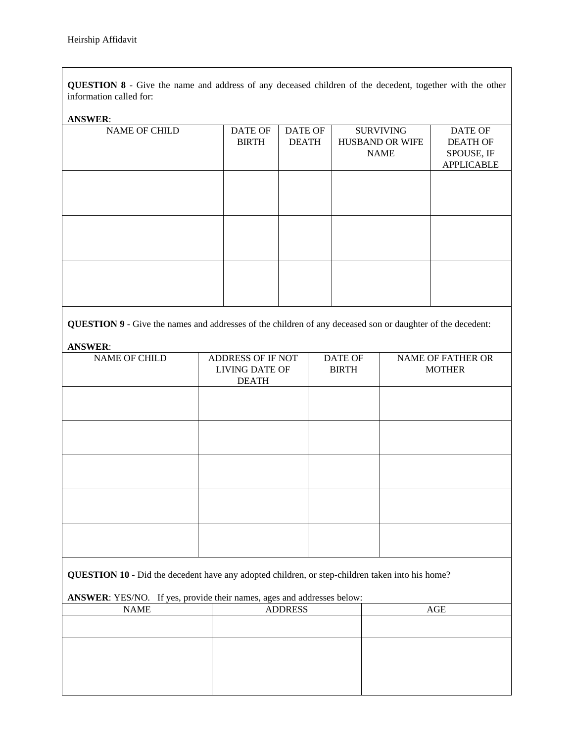**QUESTION 8** - Give the name and address of any deceased children of the decedent, together with the other information called for:

### **ANSWER**:

| <b>NAME OF CHILD</b> | <b>DATE OF</b> | DATE OF      | <b>SURVIVING</b> | DATE OF           |
|----------------------|----------------|--------------|------------------|-------------------|
|                      | <b>BIRTH</b>   | <b>DEATH</b> | HUSBAND OR WIFE  | <b>DEATH OF</b>   |
|                      |                |              | <b>NAME</b>      | SPOUSE, IF        |
|                      |                |              |                  | <b>APPLICABLE</b> |
|                      |                |              |                  |                   |
|                      |                |              |                  |                   |
|                      |                |              |                  |                   |
|                      |                |              |                  |                   |
|                      |                |              |                  |                   |
|                      |                |              |                  |                   |
|                      |                |              |                  |                   |
|                      |                |              |                  |                   |
|                      |                |              |                  |                   |
|                      |                |              |                  |                   |
|                      |                |              |                  |                   |
|                      |                |              |                  |                   |

**QUESTION 9** - Give the names and addresses of the children of any deceased son or daughter of the decedent:

#### **ANSWER**:

| NAME OF CHILD | ADDRESS OF IF NOT<br>LIVING DATE OF<br><b>DEATH</b> | DATE OF<br><b>BIRTH</b> | <b>NAME OF FATHER OR</b><br><b>MOTHER</b> |
|---------------|-----------------------------------------------------|-------------------------|-------------------------------------------|
|               |                                                     |                         |                                           |
|               |                                                     |                         |                                           |
|               |                                                     |                         |                                           |
|               |                                                     |                         |                                           |
|               |                                                     |                         |                                           |

**QUESTION 10** - Did the decedent have any adopted children, or step-children taken into his home?

**ANSWER**: YES/NO. If yes, provide their names, ages and addresses below:

| <b>NAME</b> | <b>ADDRESS</b> | AGE |
|-------------|----------------|-----|
|             |                |     |
|             |                |     |
|             |                |     |
|             |                |     |
|             |                |     |
|             |                |     |
|             |                |     |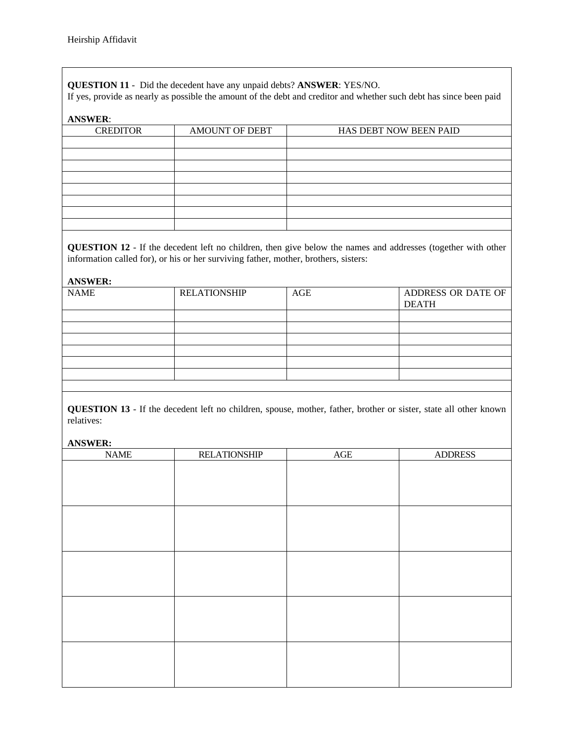**QUESTION 11** - Did the decedent have any unpaid debts? **ANSWER**: YES/NO.

If yes, provide as nearly as possible the amount of the debt and creditor and whether such debt has since been paid

# **ANSWER**:

| <b>CREDITOR</b> | <b>AMOUNT OF DEBT</b> | HAS DEBT NOW BEEN PAID |
|-----------------|-----------------------|------------------------|
|                 |                       |                        |
|                 |                       |                        |
|                 |                       |                        |
|                 |                       |                        |
|                 |                       |                        |
|                 |                       |                        |
|                 |                       |                        |
|                 |                       |                        |

**QUESTION 12** - If the decedent left no children, then give below the names and addresses (together with other information called for), or his or her surviving father, mother, brothers, sisters:

**ANSWER:**

| <b>NAME</b> | <b>RELATIONSHIP</b> | AGE | ADDRESS OR DATE OF<br><b>DEATH</b> |
|-------------|---------------------|-----|------------------------------------|
|             |                     |     |                                    |
|             |                     |     |                                    |
|             |                     |     |                                    |
|             |                     |     |                                    |
|             |                     |     |                                    |
|             |                     |     |                                    |
|             |                     |     |                                    |
|             |                     |     |                                    |

**QUESTION 13** - If the decedent left no children, spouse, mother, father, brother or sister, state all other known relatives:

## **ANSWER:**

| $\ensuremath{\mathsf{NAME}}$ | <b>RELATIONSHIP</b> | $\rm{AGE}$ | <b>ADDRESS</b> |
|------------------------------|---------------------|------------|----------------|
|                              |                     |            |                |
|                              |                     |            |                |
|                              |                     |            |                |
|                              |                     |            |                |
|                              |                     |            |                |
|                              |                     |            |                |
|                              |                     |            |                |
|                              |                     |            |                |
|                              |                     |            |                |
|                              |                     |            |                |
|                              |                     |            |                |
|                              |                     |            |                |
|                              |                     |            |                |
|                              |                     |            |                |
|                              |                     |            |                |
|                              |                     |            |                |
|                              |                     |            |                |
|                              |                     |            |                |